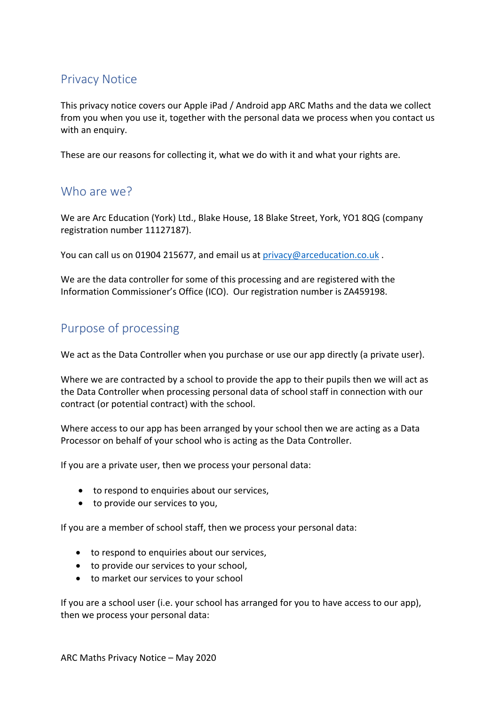## Privacy Notice

This privacy notice covers our Apple iPad / Android app ARC Maths and the data we collect from you when you use it, together with the personal data we process when you contact us with an enquiry.

These are our reasons for collecting it, what we do with it and what your rights are.

### Who are we?

We are Arc Education (York) Ltd., Blake House, 18 Blake Street, York, YO1 8QG (company registration number 11127187).

You can call us on 01904 215677, and email us at privacy@arceducation.co.uk .

We are the data controller for some of this processing and are registered with the Information Commissioner's Office (ICO). Our registration number is ZA459198.

# Purpose of processing

We act as the Data Controller when you purchase or use our app directly (a private user).

Where we are contracted by a school to provide the app to their pupils then we will act as the Data Controller when processing personal data of school staff in connection with our contract (or potential contract) with the school.

Where access to our app has been arranged by your school then we are acting as a Data Processor on behalf of your school who is acting as the Data Controller.

If you are a private user, then we process your personal data:

- to respond to enquiries about our services.
- to provide our services to you,

If you are a member of school staff, then we process your personal data:

- to respond to enquiries about our services,
- to provide our services to your school,
- to market our services to your school

If you are a school user (i.e. your school has arranged for you to have access to our app), then we process your personal data: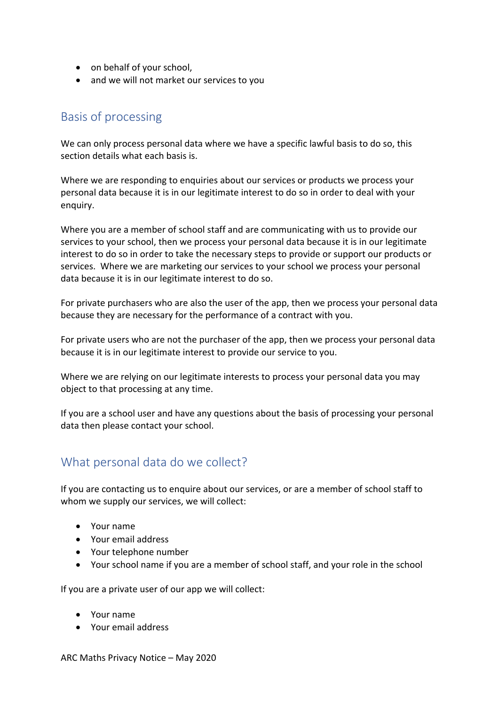- on behalf of your school,
- and we will not market our services to you

### Basis of processing

We can only process personal data where we have a specific lawful basis to do so, this section details what each basis is.

Where we are responding to enquiries about our services or products we process your personal data because it is in our legitimate interest to do so in order to deal with your enquiry.

Where you are a member of school staff and are communicating with us to provide our services to your school, then we process your personal data because it is in our legitimate interest to do so in order to take the necessary steps to provide or support our products or services. Where we are marketing our services to your school we process your personal data because it is in our legitimate interest to do so.

For private purchasers who are also the user of the app, then we process your personal data because they are necessary for the performance of a contract with you.

For private users who are not the purchaser of the app, then we process your personal data because it is in our legitimate interest to provide our service to you.

Where we are relying on our legitimate interests to process your personal data you may object to that processing at any time.

If you are a school user and have any questions about the basis of processing your personal data then please contact your school.

### What personal data do we collect?

If you are contacting us to enquire about our services, or are a member of school staff to whom we supply our services, we will collect:

- Your name
- Your email address
- Your telephone number
- Your school name if you are a member of school staff, and your role in the school

If you are a private user of our app we will collect:

- Your name
- Your email address

ARC Maths Privacy Notice – May 2020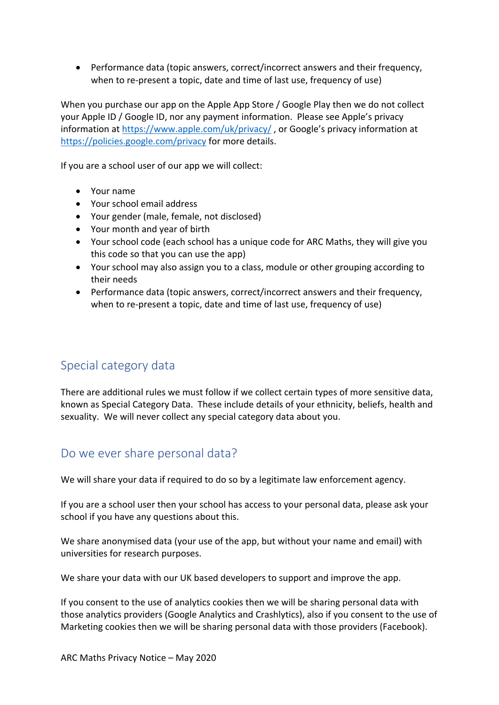• Performance data (topic answers, correct/incorrect answers and their frequency, when to re-present a topic, date and time of last use, frequency of use)

When you purchase our app on the Apple App Store / Google Play then we do not collect your Apple ID / Google ID, nor any payment information. Please see Apple's privacy information at https://www.apple.com/uk/privacy/, or Google's privacy information at https://policies.google.com/privacy for more details.

If you are a school user of our app we will collect:

- Your name
- Your school email address
- Your gender (male, female, not disclosed)
- Your month and year of birth
- Your school code (each school has a unique code for ARC Maths, they will give you this code so that you can use the app)
- Your school may also assign you to a class, module or other grouping according to their needs
- Performance data (topic answers, correct/incorrect answers and their frequency, when to re-present a topic, date and time of last use, frequency of use)

## Special category data

There are additional rules we must follow if we collect certain types of more sensitive data, known as Special Category Data. These include details of your ethnicity, beliefs, health and sexuality. We will never collect any special category data about you.

### Do we ever share personal data?

We will share your data if required to do so by a legitimate law enforcement agency.

If you are a school user then your school has access to your personal data, please ask your school if you have any questions about this.

We share anonymised data (your use of the app, but without your name and email) with universities for research purposes.

We share your data with our UK based developers to support and improve the app.

If you consent to the use of analytics cookies then we will be sharing personal data with those analytics providers (Google Analytics and Crashlytics), also if you consent to the use of Marketing cookies then we will be sharing personal data with those providers (Facebook).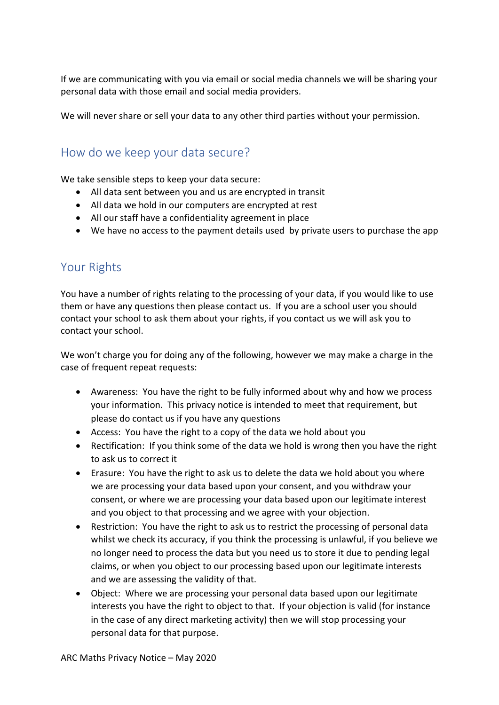If we are communicating with you via email or social media channels we will be sharing your personal data with those email and social media providers.

We will never share or sell your data to any other third parties without your permission.

### How do we keep your data secure?

We take sensible steps to keep your data secure:

- All data sent between you and us are encrypted in transit
- All data we hold in our computers are encrypted at rest
- All our staff have a confidentiality agreement in place
- We have no access to the payment details used by private users to purchase the app

### Your Rights

You have a number of rights relating to the processing of your data, if you would like to use them or have any questions then please contact us. If you are a school user you should contact your school to ask them about your rights, if you contact us we will ask you to contact your school.

We won't charge you for doing any of the following, however we may make a charge in the case of frequent repeat requests:

- Awareness: You have the right to be fully informed about why and how we process your information. This privacy notice is intended to meet that requirement, but please do contact us if you have any questions
- Access: You have the right to a copy of the data we hold about you
- Rectification: If you think some of the data we hold is wrong then you have the right to ask us to correct it
- Erasure: You have the right to ask us to delete the data we hold about you where we are processing your data based upon your consent, and you withdraw your consent, or where we are processing your data based upon our legitimate interest and you object to that processing and we agree with your objection.
- Restriction: You have the right to ask us to restrict the processing of personal data whilst we check its accuracy, if you think the processing is unlawful, if you believe we no longer need to process the data but you need us to store it due to pending legal claims, or when you object to our processing based upon our legitimate interests and we are assessing the validity of that.
- Object: Where we are processing your personal data based upon our legitimate interests you have the right to object to that. If your objection is valid (for instance in the case of any direct marketing activity) then we will stop processing your personal data for that purpose.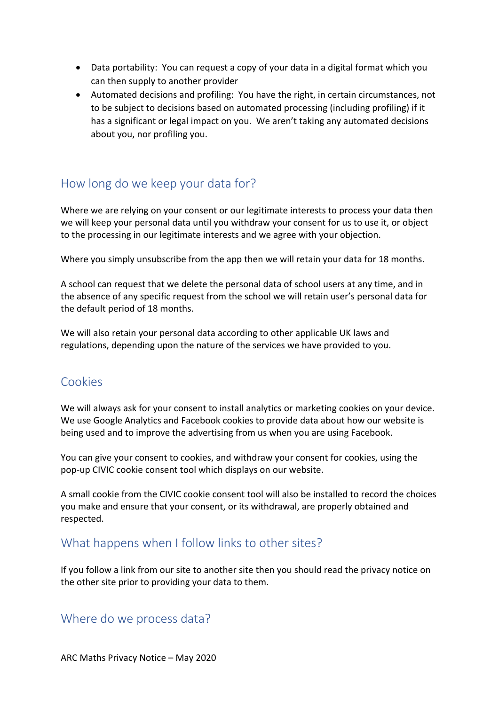- Data portability: You can request a copy of your data in a digital format which you can then supply to another provider
- Automated decisions and profiling: You have the right, in certain circumstances, not to be subject to decisions based on automated processing (including profiling) if it has a significant or legal impact on you. We aren't taking any automated decisions about you, nor profiling you.

## How long do we keep your data for?

Where we are relying on your consent or our legitimate interests to process your data then we will keep your personal data until you withdraw your consent for us to use it, or object to the processing in our legitimate interests and we agree with your objection.

Where you simply unsubscribe from the app then we will retain your data for 18 months.

A school can request that we delete the personal data of school users at any time, and in the absence of any specific request from the school we will retain user's personal data for the default period of 18 months.

We will also retain your personal data according to other applicable UK laws and regulations, depending upon the nature of the services we have provided to you.

### Cookies

We will always ask for your consent to install analytics or marketing cookies on your device. We use Google Analytics and Facebook cookies to provide data about how our website is being used and to improve the advertising from us when you are using Facebook.

You can give your consent to cookies, and withdraw your consent for cookies, using the pop-up CIVIC cookie consent tool which displays on our website.

A small cookie from the CIVIC cookie consent tool will also be installed to record the choices you make and ensure that your consent, or its withdrawal, are properly obtained and respected.

### What happens when I follow links to other sites?

If you follow a link from our site to another site then you should read the privacy notice on the other site prior to providing your data to them.

#### Where do we process data?

ARC Maths Privacy Notice – May 2020